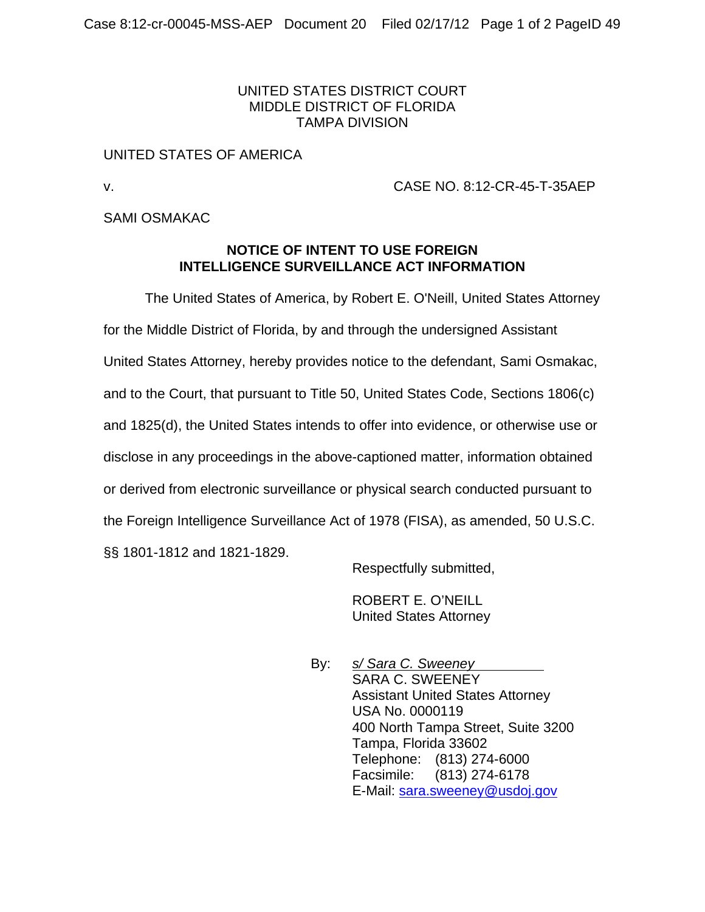# UNITED STATES DISTRICT COURT MIDDLE DISTRICT OF FLORIDA TAMPA DIVISION

# UNITED STATES OF AMERICA

v. CASE NO. 8:12-CR-45-T-35AEP

# SAMI OSMAKAC

### **NOTICE OF INTENT TO USE FOREIGN INTELLIGENCE SURVEILLANCE ACT INFORMATION**

 The United States of America, by Robert E. O'Neill, United States Attorney for the Middle District of Florida, by and through the undersigned Assistant United States Attorney, hereby provides notice to the defendant, Sami Osmakac, and to the Court, that pursuant to Title 50, United States Code, Sections 1806(c) and 1825(d), the United States intends to offer into evidence, or otherwise use or disclose in any proceedings in the above-captioned matter, information obtained or derived from electronic surveillance or physical search conducted pursuant to the Foreign Intelligence Surveillance Act of 1978 (FISA), as amended, 50 U.S.C. §§ 1801-1812 and 1821-1829.

Respectfully submitted,

ROBERT E. O'NEILL United States Attorney

By: *s/ Sara C. Sweeney*  SARA C. SWEENEY Assistant United States Attorney USA No. 0000119 400 North Tampa Street, Suite 3200 Tampa, Florida 33602 Telephone: (813) 274-6000 Facsimile: (813) 274-6178 E-Mail: sara.sweeney@usdoj.gov